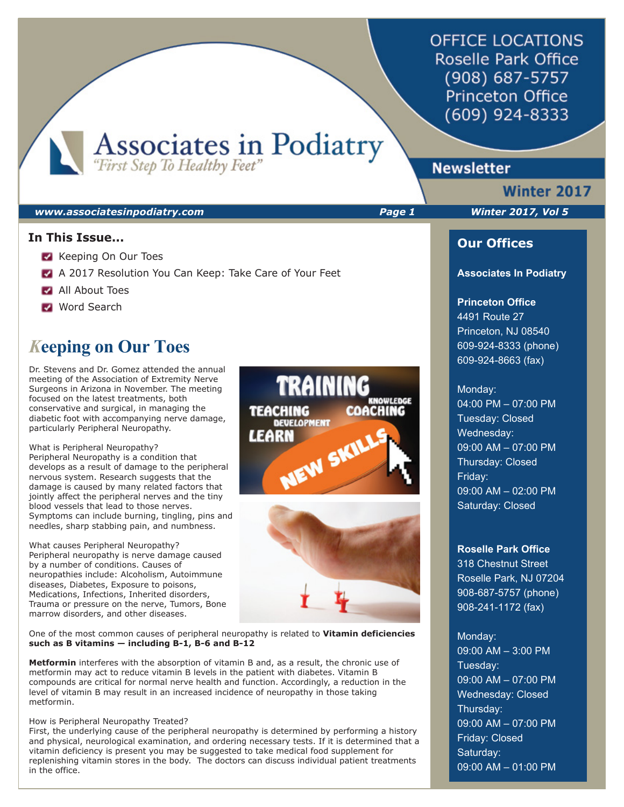**OFFICE LOCATIONS Roselle Park Office** (908) 687-5757 **Princeton Office** (609) 924-8333

**Associates in Podiatry**<br>"First Step To Healthy Feet"

#### *www.associatesinpodiatry.com Page 1 Winter 2017, Vol 5*

### **In This Issue...**

- Keeping On Our Toes
- A 2017 Resolution You Can Keep: Take Care of Your Feet
- **All About Toes**
- **Mord Search**

# *K***eeping on Our Toes**

Dr. Stevens and Dr. Gomez attended the annual meeting of the Association of Extremity Nerve Surgeons in Arizona in November. The meeting focused on the latest treatments, both conservative and surgical, in managing the diabetic foot with accompanying nerve damage, particularly Peripheral Neuropathy.

What is Peripheral Neuropathy? Peripheral Neuropathy is a condition that develops as a result of damage to the peripheral nervous system. Research suggests that the damage is caused by many related factors that jointly affect the peripheral nerves and the tiny blood vessels that lead to those nerves. Symptoms can include burning, tingling, pins and needles, sharp stabbing pain, and numbness.

What causes Peripheral Neuropathy? Peripheral neuropathy is nerve damage caused by a number of conditions. Causes of neuropathies include: Alcoholism, Autoimmune diseases, Diabetes, Exposure to poisons, Medications, Infections, Inherited disorders, Trauma or pressure on the nerve, Tumors, Bone marrow disorders, and other diseases.

One of the most common causes of peripheral neuropathy is related to **Vitamin deficiencies such as B vitamins — including B-1, B-6 and B-12**

**Metformin** interferes with the absorption of vitamin B and, as a result, the chronic use of metformin may act to reduce vitamin B levels in the patient with diabetes. Vitamin B compounds are critical for normal nerve health and function. Accordingly, a reduction in the level of vitamin B may result in an increased incidence of neuropathy in those taking metformin.

#### How is Peripheral Neuropathy Treated?

First, the underlying cause of the peripheral neuropathy is determined by performing a history and physical, neurological examination, and ordering necessary tests. If it is determined that a vitamin deficiency is present you may be suggested to take medical food supplement for replenishing vitamin stores in the body. The doctors can discuss individual patient treatments in the office.





# **Newsletter**

# **Winter 2017**

## **Our Offices**

#### **Associates In Podiatry**

#### **Princeton Office**

4491 Route 27 Princeton, NJ 08540 609-924-8333 (phone) 609-924-8663 (fax)

#### Monday:

04:00 PM – 07:00 PM Tuesday: Closed Wednesday: 09:00 AM – 07:00 PM Thursday: Closed Friday: 09:00 AM – 02:00 PM Saturday: Closed

#### **Roselle Park Office**

318 Chestnut Street Roselle Park, NJ 07204 908-687-5757 (phone) 908-241-1172 (fax)

#### Monday:

09:00 AM – 3:00 PM Tuesday: 09:00 AM – 07:00 PM Wednesday: Closed Thursday: 09:00 AM – 07:00 PM Friday: Closed Saturday: 09:00 AM – 01:00 PM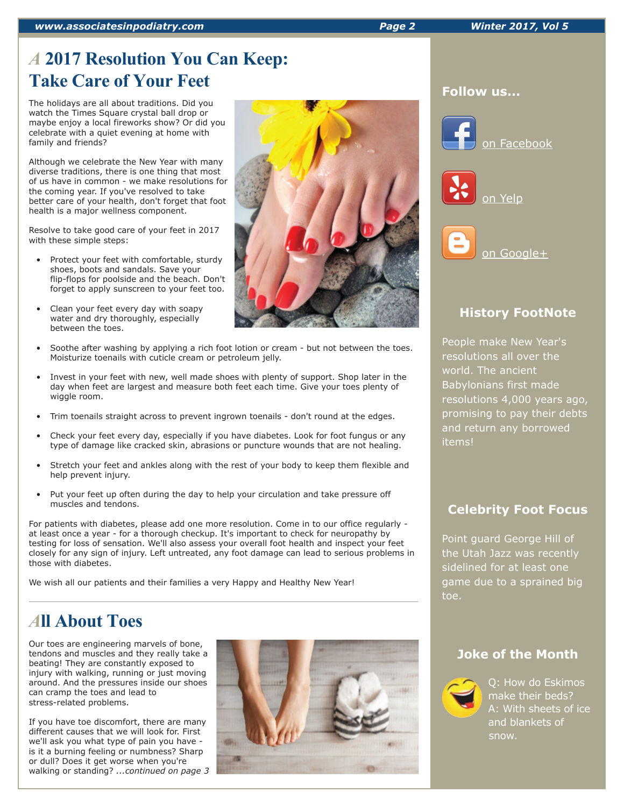*www.associatesinpodiatry.com Page 2 Winter 2017, Vol 5*

# *A* **2017 Resolution You Can Keep: Take Care of Your Feet**

The holidays are all about traditions. Did you watch the Times Square crystal ball drop or maybe enjoy a local fireworks show? Or did you celebrate with a quiet evening at home with family and friends?

Although we celebrate the New Year with many diverse traditions, there is one thing that most of us have in common - we make resolutions for the coming year. If you've resolved to take better care of your health, don't forget that foot health is a major wellness component.

Resolve to take good care of your feet in 2017 with these simple steps:

- Protect your feet with comfortable, sturdy shoes, boots and sandals. Save your flip-flops for poolside and the beach. Don't forget to apply sunscreen to your feet too.
- Clean your feet every day with soapy water and dry thoroughly, especially between the toes.



- Soothe after washing by applying a rich foot lotion or cream but not between the toes. Moisturize toenails with cuticle cream or petroleum jelly.
- Invest in your feet with new, well made shoes with plenty of support. Shop later in the day when feet are largest and measure both feet each time. Give your toes plenty of wiggle room.
- Trim toenails straight across to prevent ingrown toenails don't round at the edges.
- Check your feet every day, especially if you have diabetes. Look for foot fungus or any type of damage like cracked skin, abrasions or puncture wounds that are not healing.
- Stretch your feet and ankles along with the rest of your body to keep them flexible and help prevent injury.
- Put your feet up often during the day to help your circulation and take pressure off muscles and tendons.

For patients with diabetes, please add one more resolution. Come in to our office regularly at least once a year - for a thorough checkup. It's important to check for neuropathy by testing for loss of sensation. We'll also assess your overall foot health and inspect your feet closely for any sign of injury. Left untreated, any foot damage can lead to serious problems in those with diabetes.

We wish all our patients and their families a very Happy and Healthy New Year!

# *A***ll About Toes**

Our toes are engineering marvels of bone, tendons and muscles and they really take a beating! They are constantly exposed to injury with walking, running or just moving around. And the pressures inside our shoes can cramp the toes and lead to stress-related problems.

If you have toe discomfort, there are many different causes that we will look for. First we'll ask you what type of pain you have is it a burning feeling or numbness? Sharp or dull? Does it get worse when you're walking or standing? *...continued on page 3*



#### **Follow us...**







# **History FootNote**

People make New Year's resolutions all over the world. The ancient Babylonians first made resolutions 4,000 years ago, promising to pay their debts and return any borrowed items!

# **Celebrity Foot Focus**

Point guard George Hill of the Utah Jazz was recently sidelined for at least one game due to a sprained big toe.

## **Joke of the Month**



Q: How do Eskimos make their beds? A: With sheets of ice and blankets of snow.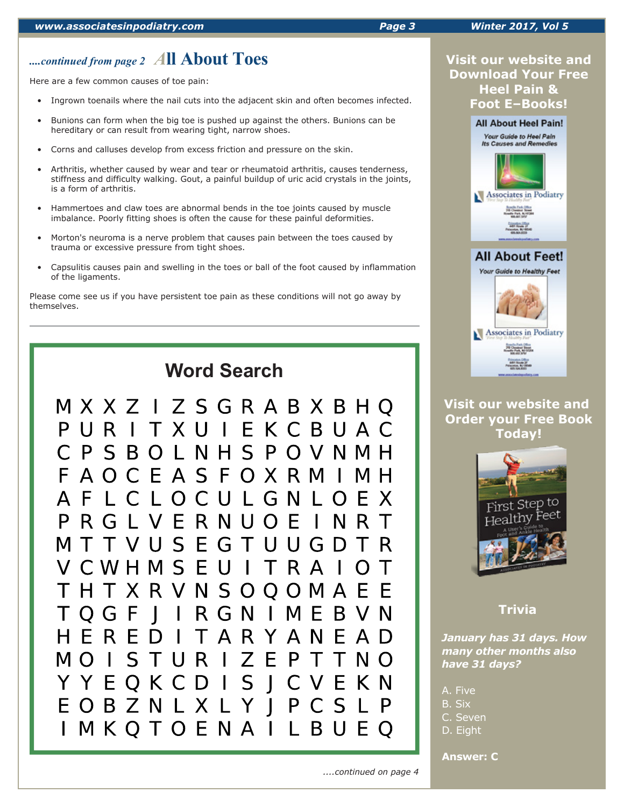# *....continued from page 2 A***ll About Toes**

Here are a few common causes of toe pain:

- Ingrown toenails where the nail cuts into the adjacent skin and often becomes infected.
- Bunions can form when the big toe is pushed up against the others. Bunions can be hereditary or can result from wearing tight, narrow shoes.
- Corns and calluses develop from excess friction and pressure on the skin.
- Arthritis, whether caused by wear and tear or rheumatoid arthritis, causes tenderness, stiffness and difficulty walking. Gout, a painful buildup of uric acid crystals in the joints, is a form of arthritis.
- Hammertoes and claw toes are abnormal bends in the toe joints caused by muscle imbalance. Poorly fitting shoes is often the cause for these painful deformities.
- Morton's neuroma is a nerve problem that causes pain between the toes caused by trauma or excessive pressure from tight shoes.
- Capsulitis causes pain and swelling in the toes or ball of the foot caused by inflammation of the ligaments.

Please come see us if you have persistent toe pain as these conditions will not go away by themselves.



## **Visit our website and Download Your Free Heel Pain & Foot E–Books!**



## **Visit our website and Order your Free Book Today!**



# **Trivia**

*January has 31 days. How many other months also have 31 days?* 

A. Five

B. Six

C. Seven

D. Eight

**Answer: C**